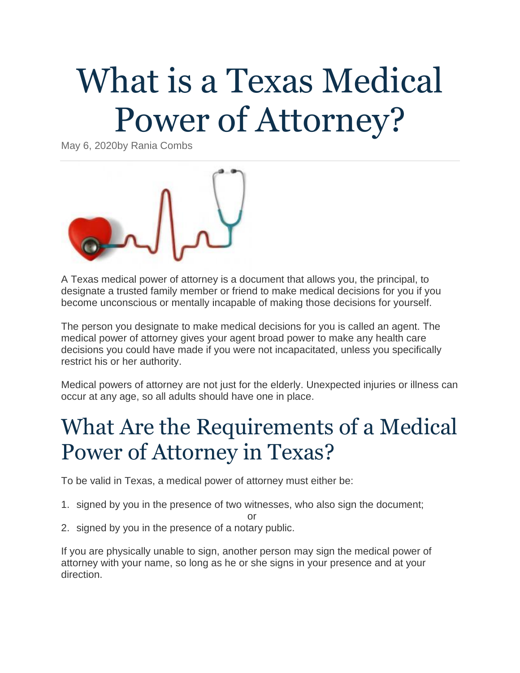# What is a Texas Medical Power of Attorney?

May 6, 2020by Rania Combs



A Texas medical power of attorney is a document that allows you, the principal, to designate a trusted family member or friend to make medical decisions for you if you become unconscious or mentally incapable of making those decisions for yourself.

The person you designate to make medical decisions for you is called an agent. The medical power of attorney gives your agent broad power to make any health care decisions you could have made if you were not incapacitated, unless you specifically restrict his or her authority.

Medical powers of attorney are not just for the elderly. Unexpected injuries or illness can occur at any age, so all adults should have one in place.

#### What Are the Requirements of a Medical Power of Attorney in Texas?

To be valid in Texas, a medical power of attorney must either be:

1. signed by you in the presence of two witnesses, who also sign the document;

or

2. signed by you in the presence of a notary public.

If you are physically unable to sign, another person may sign the medical power of attorney with your name, so long as he or she signs in your presence and at your direction.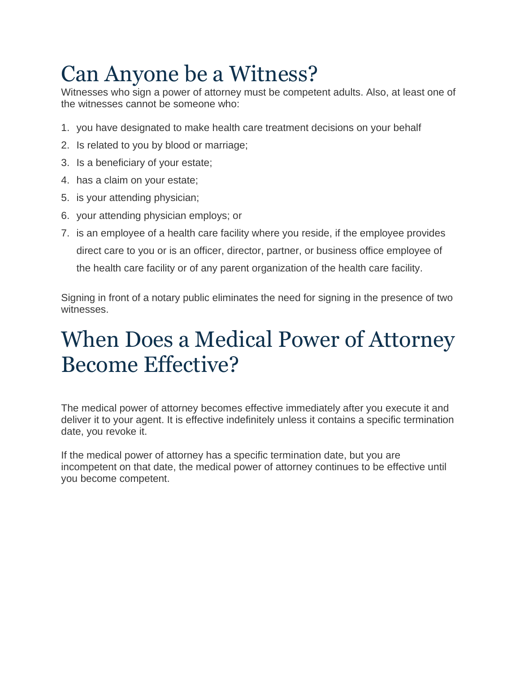## Can Anyone be a Witness?

Witnesses who sign a power of attorney must be competent adults. Also, at least one of the witnesses cannot be someone who:

- 1. you have designated to make health care treatment decisions on your behalf
- 2. Is related to you by blood or marriage;
- 3. Is a beneficiary of your estate;
- 4. has a claim on your estate;
- 5. is your attending physician;
- 6. your attending physician employs; or
- 7. is an employee of a health care facility where you reside, if the employee provides direct care to you or is an officer, director, partner, or business office employee of the health care facility or of any parent organization of the health care facility.

Signing in front of a notary public eliminates the need for signing in the presence of two witnesses.

#### When Does a Medical Power of Attorney Become Effective?

The medical power of attorney becomes effective immediately after you execute it and deliver it to your agent. It is effective indefinitely unless it contains a specific termination date, you revoke it.

If the medical power of attorney has a specific termination date, but you are incompetent on that date, the medical power of attorney continues to be effective until you become competent.